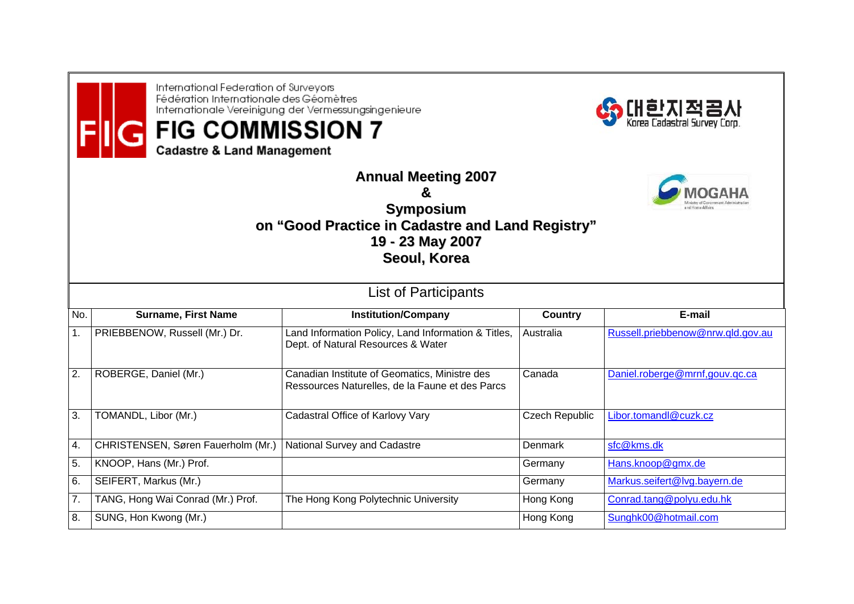International Federation of Surveyors Fédération Internationale des Géomètres Internationale Vereinigung der Vermessungsingenieure

## **FIG COMMISSION 7**

**Cadastre & Land Management** 



**Annual Meeting 2007 &Symposium on "Good Practice in Cadastre and Land Registry" 19 - 23 May 2007 Seoul, Korea**

| <b>List of Participants</b> |                                    |                                                                                                  |                |                                   |  |  |  |
|-----------------------------|------------------------------------|--------------------------------------------------------------------------------------------------|----------------|-----------------------------------|--|--|--|
| No.                         | <b>Surname, First Name</b>         | <b>Institution/Company</b>                                                                       | Country        | E-mail                            |  |  |  |
| 1.                          | PRIEBBENOW, Russell (Mr.) Dr.      | Land Information Policy, Land Information & Titles,<br>Dept. of Natural Resources & Water        | Australia      | Russell.priebbenow@nrw.qld.gov.au |  |  |  |
| 2.                          | ROBERGE, Daniel (Mr.)              | Canadian Institute of Geomatics, Ministre des<br>Ressources Naturelles, de la Faune et des Parcs | Canada         | Daniel.roberge@mrnf,gouv.gc.ca    |  |  |  |
| 3.                          | TOMANDL, Libor (Mr.)               | Cadastral Office of Karlovy Vary                                                                 | Czech Republic | Libor.tomandl@cuzk.cz             |  |  |  |
| 4.                          | CHRISTENSEN, Søren Fauerholm (Mr.) | National Survey and Cadastre                                                                     | Denmark        | sfc@kms.dk                        |  |  |  |
| 5.                          | KNOOP, Hans (Mr.) Prof.            |                                                                                                  | Germany        | Hans.knoop@gmx.de                 |  |  |  |
| 6.                          | SEIFERT, Markus (Mr.)              |                                                                                                  | Germany        | Markus.seifert@lvg.bayern.de      |  |  |  |
| 7.                          | TANG, Hong Wai Conrad (Mr.) Prof.  | The Hong Kong Polytechnic University                                                             | Hong Kong      | Conrad.tang@polyu.edu.hk          |  |  |  |
| 8.                          | SUNG, Hon Kwong (Mr.)              |                                                                                                  | Hong Kong      | Sunghk00@hotmail.com              |  |  |  |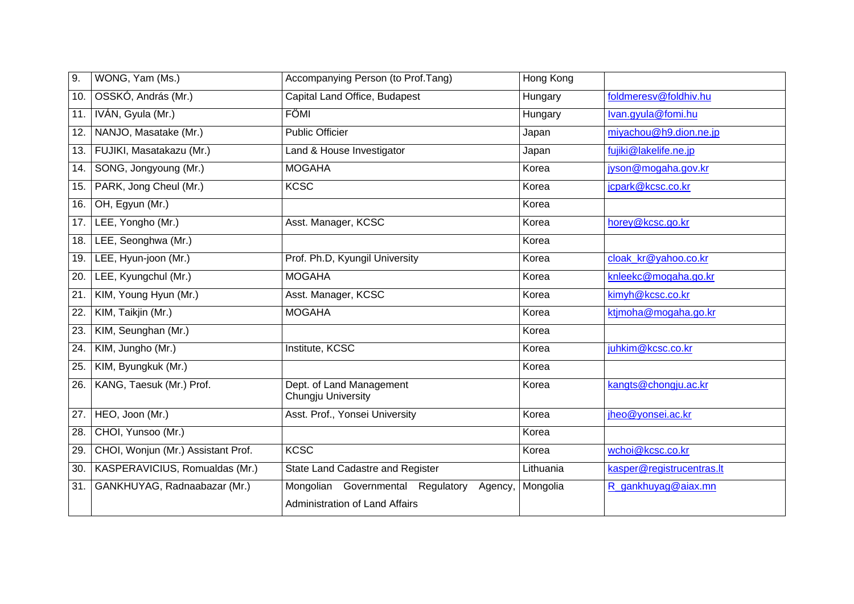| 9.  | WONG, Yam (Ms.)                    | Accompanying Person (to Prof.Tang)                                                    | Hong Kong |                           |
|-----|------------------------------------|---------------------------------------------------------------------------------------|-----------|---------------------------|
| 10. | OSSKÓ, András (Mr.)                | Capital Land Office, Budapest                                                         | Hungary   | foldmeresv@foldhiv.hu     |
| 11. | IVÁN, Gyula (Mr.)                  | FÖMI                                                                                  | Hungary   | Ivan.gyula@fomi.hu        |
| 12. | NANJO, Masatake (Mr.)              | <b>Public Officier</b>                                                                | Japan     | miyachou@h9.dion.ne.jp    |
| 13. | FUJIKI, Masatakazu (Mr.)           | Land & House Investigator                                                             | Japan     | fujiki@lakelife.ne.jp     |
| 14. | SONG, Jongyoung (Mr.)              | <b>MOGAHA</b>                                                                         | Korea     | jyson@mogaha.gov.kr       |
| 15. | PARK, Jong Cheul (Mr.)             | <b>KCSC</b>                                                                           | Korea     | jcpark@kcsc.co.kr         |
| 16. | OH, Egyun (Mr.)                    |                                                                                       | Korea     |                           |
| 17. | LEE, Yongho (Mr.)                  | Asst. Manager, KCSC                                                                   | Korea     | horey@kcsc.go.kr          |
| 18. | LEE, Seonghwa (Mr.)                |                                                                                       | Korea     |                           |
| 19. | LEE, Hyun-joon (Mr.)               | Prof. Ph.D, Kyungil University                                                        | Korea     | cloak kr@yahoo.co.kr      |
| 20. | LEE, Kyungchul (Mr.)               | <b>MOGAHA</b>                                                                         | Korea     | knleekc@mogaha.go.kr      |
| 21. | KIM, Young Hyun (Mr.)              | Asst. Manager, KCSC                                                                   | Korea     | kimyh@kcsc.co.kr          |
| 22. | KIM, Taikjin (Mr.)                 | <b>MOGAHA</b>                                                                         | Korea     | ktjmoha@mogaha.go.kr      |
| 23. | KIM, Seunghan (Mr.)                |                                                                                       | Korea     |                           |
| 24. | KIM, Jungho (Mr.)                  | Institute, KCSC                                                                       | Korea     | juhkim@kcsc.co.kr         |
| 25. | KIM, Byungkuk (Mr.)                |                                                                                       | Korea     |                           |
| 26. | KANG, Taesuk (Mr.) Prof.           | Dept. of Land Management<br>Chungju University                                        | Korea     | kangts@chongju.ac.kr      |
| 27. | HEO, Joon (Mr.)                    | Asst. Prof., Yonsei University                                                        | Korea     | jheo@yonsei.ac.kr         |
| 28. | CHOI, Yunsoo (Mr.)                 |                                                                                       | Korea     |                           |
| 29. | CHOI, Wonjun (Mr.) Assistant Prof. | <b>KCSC</b>                                                                           | Korea     | wchoi@kcsc.co.kr          |
| 30. | KASPERAVICIUS, Romualdas (Mr.)     | State Land Cadastre and Register                                                      | Lithuania | kasper@registrucentras.lt |
| 31. | GANKHUYAG, Radnaabazar (Mr.)       | Mongolian Governmental Regulatory<br>Agency,<br><b>Administration of Land Affairs</b> | Mongolia  | R_gankhuyag@aiax.mn       |